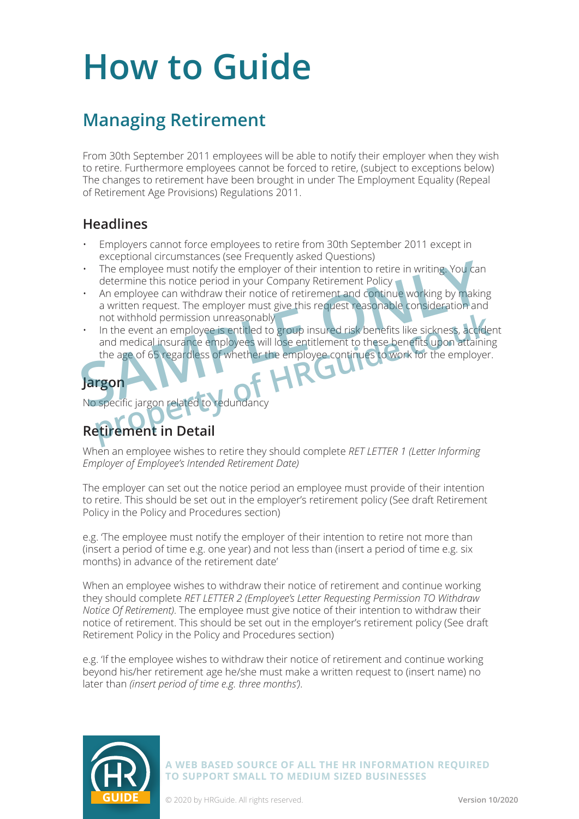# **How to Guide**

## **Managing Retirement**

From 30th September 2011 employees will be able to notify their employer when they wish to retire. Furthermore employees cannot be forced to retire, (subject to exceptions below) The changes to retirement have been brought in under The Employment Equality (Repeal of Retirement Age Provisions) Regulations 2011.

#### **Headlines**

- Employers cannot force employees to retire from 30th September 2011 except in exceptional circumstances (see Frequently asked Questions)
- The employee must notify the employer of their intention to retire in writing. You can determine this notice period in your Company Retirement Policy
- An employee can withdraw their notice of retirement and continue working by making a written request. The employer must give this request reasonable consideration and not withhold permission unreasonably
- In the event an employee is entitled to group insured risk benefits like sickness, accident and medical insurance employees will lose entitlement to these benefits upon attaining the age of 65 regardless of whether the employee continues to work for the employer. The employee must notify the employer of their intention to retire in writing. You can<br>determine this notice period in your Company Retirement Policy<br>An employee can withdraw their notice of retirement and continue working not withhold permission unreasonably<br>In the event an employee is entitled to group insured risk benefits like sickness, accide<br>and medical insurance employees will lose entitlement to these benefits upon attaining<br>the age



No specific jargon related to redundancy

## **Retirement in Detail**

When an employee wishes to retire they should complete *RET LETTER 1 (Letter Informing Employer of Employee's Intended Retirement Date)*

The employer can set out the notice period an employee must provide of their intention to retire. This should be set out in the employer's retirement policy (See draft Retirement Policy in the Policy and Procedures section)

e.g. 'The employee must notify the employer of their intention to retire not more than (insert a period of time e.g. one year) and not less than (insert a period of time e.g. six months) in advance of the retirement date'

When an employee wishes to withdraw their notice of retirement and continue working they should complete *RET LETTER 2 (Employee's Letter Requesting Permission TO Withdraw Notice Of Retirement)*. The employee must give notice of their intention to withdraw their notice of retirement. This should be set out in the employer's retirement policy (See draft Retirement Policy in the Policy and Procedures section)

e.g. 'If the employee wishes to withdraw their notice of retirement and continue working beyond his/her retirement age he/she must make a written request to (insert name) no later than *(insert period of time e.g. three months')*.



**A WEB BASED SOURCE OF ALL THE HR INFORMATION REQUIRED TO SUPPORT SMALL TO MEDIUM SIZED BUSINESSES**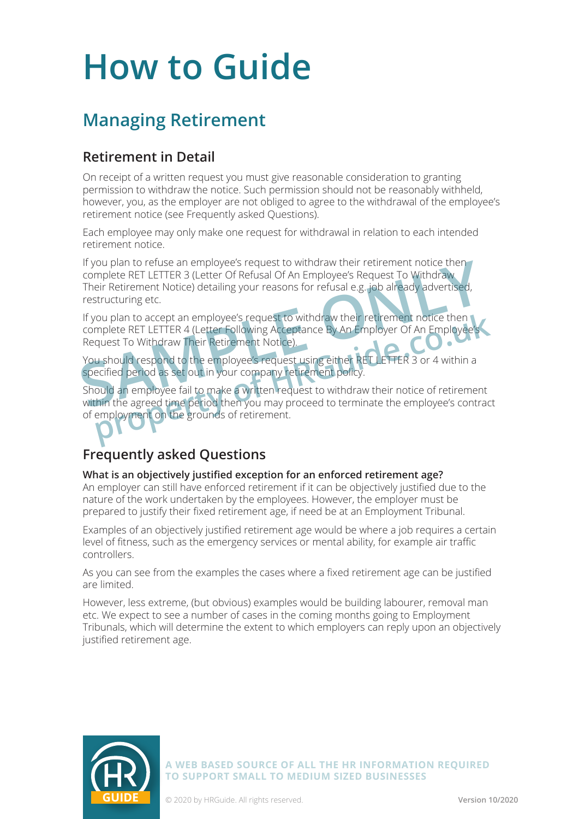# **How to Guide**

# **Managing Retirement**

### **Retirement in Detail**

On receipt of a written request you must give reasonable consideration to granting permission to withdraw the notice. Such permission should not be reasonably withheld, however, you, as the employer are not obliged to agree to the withdrawal of the employee's retirement notice (see Frequently asked Questions).

Each employee may only make one request for withdrawal in relation to each intended retirement notice.

If you plan to refuse an employee's request to withdraw their retirement notice then complete RET LETTER 3 (Letter Of Refusal Of An Employee's Request To Withdraw Their Retirement Notice) detailing your reasons for refusal e.g. job already advertised, restructuring etc. If you plan to refuse an employee's request to withdraw their retirement notice then<br>
complete RET LETTER 3 (Letter Of Refusal Of An Employee's Request To Withdraw<br>
Their Retirement Notice) detailing your reasons for refus

If you plan to accept an employee's request to withdraw their retirement notice then complete RET LETTER 4 (Letter Following Acceptance By An Employer Of An Employee's Request To Withdraw Their Retirement Notice).

You should respond to the employee's request using either RET LETTER 3 or 4 within a specified period as set out in your company retirement policy.

Should an employee fail to make a written request to withdraw their notice of retirement within the agreed time period then you may proceed to terminate the employee's contract of employment on the grounds of retirement. From the accept an employee's request to withdraw their retirement notice then<br>mplete RET LETTER 4 (Letter Following Acceptance By An Employer Of An Employee's<br>quest To Withdraw Their Retirement Notice).<br>Lu should respond

### **Frequently asked Questions**

#### **What is an objectively justified exception for an enforced retirement age?**

An employer can still have enforced retirement if it can be objectively justified due to the nature of the work undertaken by the employees. However, the employer must be prepared to justify their fixed retirement age, if need be at an Employment Tribunal.

Examples of an objectively justified retirement age would be where a job requires a certain level of fitness, such as the emergency services or mental ability, for example air traffic controllers.

As you can see from the examples the cases where a fixed retirement age can be justified are limited.

However, less extreme, (but obvious) examples would be building labourer, removal man etc. We expect to see a number of cases in the coming months going to Employment Tribunals, which will determine the extent to which employers can reply upon an objectively justified retirement age.



**A WEB BASED SOURCE OF ALL THE HR INFORMATION REQUIRED TO SUPPORT SMALL TO MEDIUM SIZED BUSINESSES**